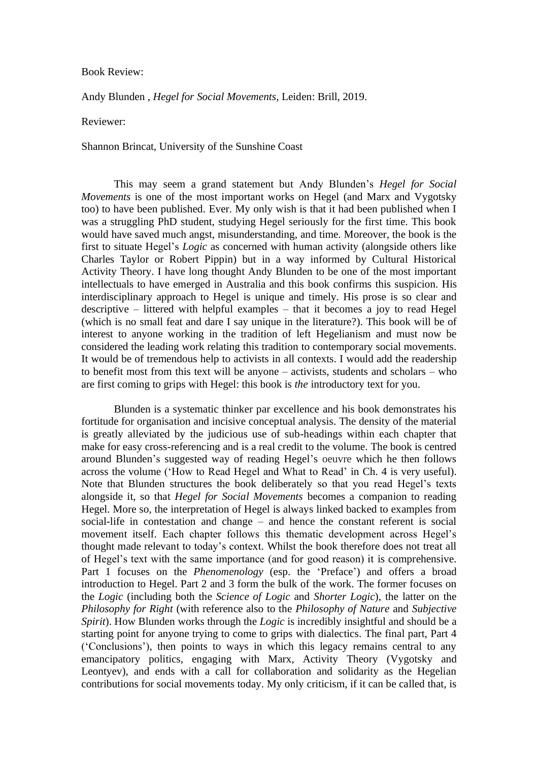## Book Review:

Andy Blunden , *Hegel for Social Movements*, Leiden: Brill, 2019.

Reviewer:

Shannon Brincat, University of the Sunshine Coast

This may seem a grand statement but Andy Blunden's *Hegel for Social Movements* is one of the most important works on Hegel (and Marx and Vygotsky too) to have been published. Ever. My only wish is that it had been published when I was a struggling PhD student, studying Hegel seriously for the first time. This book would have saved much angst, misunderstanding, and time. Moreover, the book is the first to situate Hegel's *Logic* as concerned with human activity (alongside others like Charles Taylor or Robert Pippin) but in a way informed by Cultural Historical Activity Theory. I have long thought Andy Blunden to be one of the most important intellectuals to have emerged in Australia and this book confirms this suspicion. His interdisciplinary approach to Hegel is unique and timely. His prose is so clear and descriptive – littered with helpful examples – that it becomes a joy to read Hegel (which is no small feat and dare I say unique in the literature?). This book will be of interest to anyone working in the tradition of left Hegelianism and must now be considered the leading work relating this tradition to contemporary social movements. It would be of tremendous help to activists in all contexts. I would add the readership to benefit most from this text will be anyone – activists, students and scholars – who are first coming to grips with Hegel: this book is *the* introductory text for you.

Blunden is a systematic thinker par excellence and his book demonstrates his fortitude for organisation and incisive conceptual analysis. The density of the material is greatly alleviated by the judicious use of sub-headings within each chapter that make for easy cross-referencing and is a real credit to the volume. The book is centred around Blunden's suggested way of reading Hegel's oeuvre which he then follows across the volume ('How to Read Hegel and What to Read' in Ch. 4 is very useful). Note that Blunden structures the book deliberately so that you read Hegel's texts alongside it, so that *Hegel for Social Movements* becomes a companion to reading Hegel. More so, the interpretation of Hegel is always linked backed to examples from social-life in contestation and change – and hence the constant referent is social movement itself. Each chapter follows this thematic development across Hegel's thought made relevant to today's context. Whilst the book therefore does not treat all of Hegel's text with the same importance (and for good reason) it is comprehensive. Part 1 focuses on the *Phenomenology* (esp. the 'Preface') and offers a broad introduction to Hegel. Part 2 and 3 form the bulk of the work. The former focuses on the *Logic* (including both the *Science of Logic* and *Shorter Logic*), the latter on the *Philosophy for Right* (with reference also to the *Philosophy of Nature* and *Subjective Spirit*). How Blunden works through the *Logic* is incredibly insightful and should be a starting point for anyone trying to come to grips with dialectics. The final part, Part 4 ('Conclusions'), then points to ways in which this legacy remains central to any emancipatory politics, engaging with Marx, Activity Theory (Vygotsky and Leontyev), and ends with a call for collaboration and solidarity as the Hegelian contributions for social movements today. My only criticism, if it can be called that, is